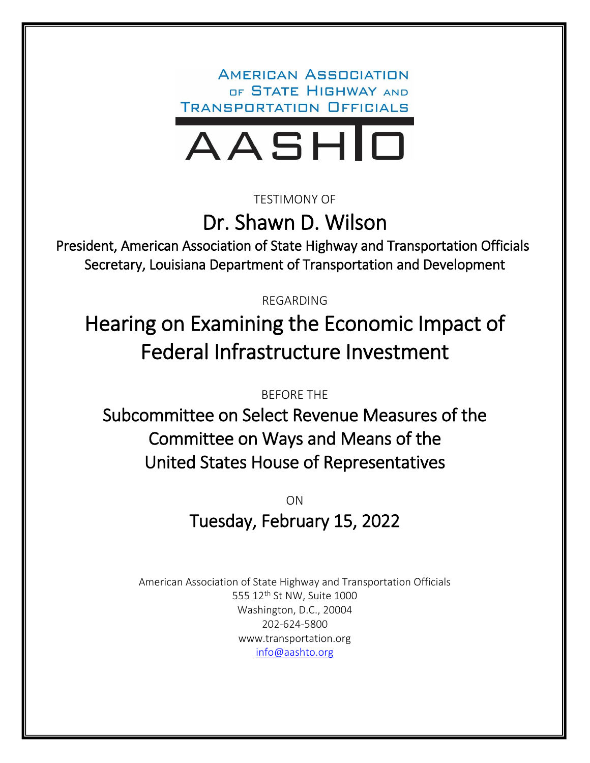**AMERICAN ASSOCIATION** OF STATE HIGHWAY AND **TRANSPORTATION OFFICIALS** 



TESTIMONY OF

Dr. Shawn D. Wilson

President, American Association of State Highway and Transportation Officials Secretary, Louisiana Department of Transportation and Development

REGARDING

Hearing on Examining the Economic Impact of Federal Infrastructure Investment

BEFORE THE

Subcommittee on Select Revenue Measures of the Committee on Ways and Means of the United States House of Representatives

> ON Tuesday, February 15, 2022

American Association of State Highway and Transportation Officials 555 12<sup>th</sup> St NW, Suite 1000 Washington, D.C., 20004 202-624-5800 www.transportation.org [info@aashto.org](mailto:info@aashto.org)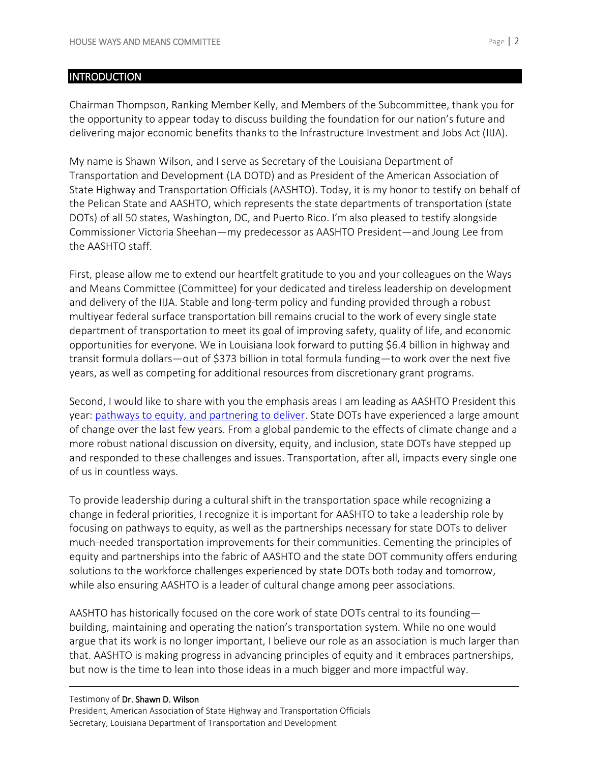## **INTRODUCTION**

Chairman Thompson, Ranking Member Kelly, and Members of the Subcommittee, thank you for the opportunity to appear today to discuss building the foundation for our nation's future and delivering major economic benefits thanks to the Infrastructure Investment and Jobs Act (IIJA).

My name is Shawn Wilson, and I serve as Secretary of the Louisiana Department of Transportation and Development (LA DOTD) and as President of the American Association of State Highway and Transportation Officials (AASHTO). Today, it is my honor to testify on behalf of the Pelican State and AASHTO, which represents the state departments of transportation (state DOTs) of all 50 states, Washington, DC, and Puerto Rico. I'm also pleased to testify alongside Commissioner Victoria Sheehan—my predecessor as AASHTO President—and Joung Lee from the AASHTO staff.

First, please allow me to extend our heartfelt gratitude to you and your colleagues on the Ways and Means Committee (Committee) for your dedicated and tireless leadership on development and delivery of the IIJA. Stable and long-term policy and funding provided through a robust multiyear federal surface transportation bill remains crucial to the work of every single state department of transportation to meet its goal of improving safety, quality of life, and economic opportunities for everyone. We in Louisiana look forward to putting \$6.4 billion in highway and transit formula dollars—out of \$373 billion in total formula funding—to work over the next five years, as well as competing for additional resources from discretionary grant programs.

Second, I would like to share with you the emphasis areas I am leading as AASHTO President this year: [pathways to equity, and partnering to deliver.](https://www.transportation.org/wp-content/uploads/2021/10/21_22-Dr-Wilson-EA-brochure_web.pdf) State DOTs have experienced a large amount of change over the last few years. From a global pandemic to the effects of climate change and a more robust national discussion on diversity, equity, and inclusion, state DOTs have stepped up and responded to these challenges and issues. Transportation, after all, impacts every single one of us in countless ways.

To provide leadership during a cultural shift in the transportation space while recognizing a change in federal priorities, I recognize it is important for AASHTO to take a leadership role by focusing on pathways to equity, as well as the partnerships necessary for state DOTs to deliver much-needed transportation improvements for their communities. Cementing the principles of equity and partnerships into the fabric of AASHTO and the state DOT community offers enduring solutions to the workforce challenges experienced by state DOTs both today and tomorrow, while also ensuring AASHTO is a leader of cultural change among peer associations.

AASHTO has historically focused on the core work of state DOTs central to its founding building, maintaining and operating the nation's transportation system. While no one would argue that its work is no longer important, I believe our role as an association is much larger than that. AASHTO is making progress in advancing principles of equity and it embraces partnerships, but now is the time to lean into those ideas in a much bigger and more impactful way.

#### Testimony of Dr. Shawn D. Wilson President, American Association of State Highway and Transportation Officials Secretary, Louisiana Department of Transportation and Development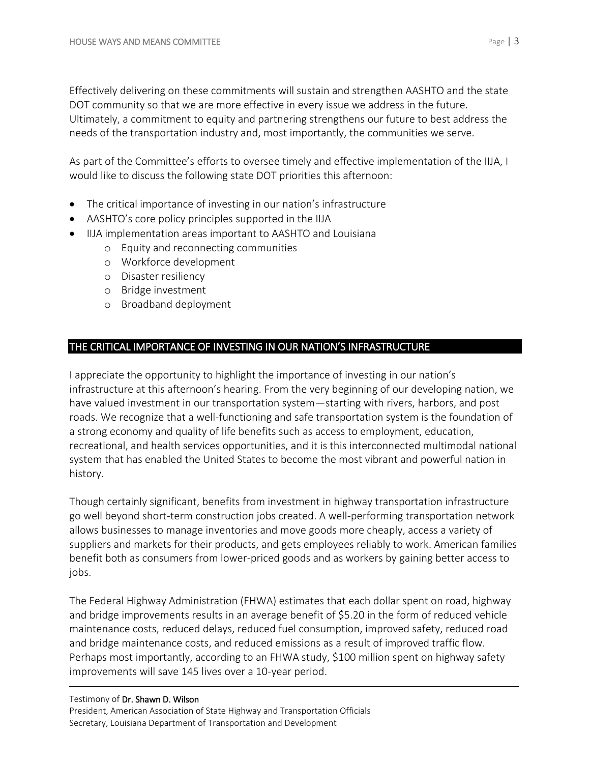Effectively delivering on these commitments will sustain and strengthen AASHTO and the state DOT community so that we are more effective in every issue we address in the future. Ultimately, a commitment to equity and partnering strengthens our future to best address the needs of the transportation industry and, most importantly, the communities we serve.

As part of the Committee's efforts to oversee timely and effective implementation of the IIJA, I would like to discuss the following state DOT priorities this afternoon:

- The critical importance of investing in our nation's infrastructure
- AASHTO's core policy principles supported in the IIJA
- IIJA implementation areas important to AASHTO and Louisiana
	- o Equity and reconnecting communities
	- o Workforce development
	- o Disaster resiliency
	- o Bridge investment
	- o Broadband deployment

# THE CRITICAL IMPORTANCE OF INVESTING IN OUR NATION'S INFRASTRUCTURE

I appreciate the opportunity to highlight the importance of investing in our nation's infrastructure at this afternoon's hearing. From the very beginning of our developing nation, we have valued investment in our transportation system—starting with rivers, harbors, and post roads. We recognize that a well-functioning and safe transportation system is the foundation of a strong economy and quality of life benefits such as access to employment, education, recreational, and health services opportunities, and it is this interconnected multimodal national system that has enabled the United States to become the most vibrant and powerful nation in history.

Though certainly significant, benefits from investment in highway transportation infrastructure go well beyond short-term construction jobs created. A well-performing transportation network allows businesses to manage inventories and move goods more cheaply, access a variety of suppliers and markets for their products, and gets employees reliably to work. American families benefit both as consumers from lower-priced goods and as workers by gaining better access to jobs.

The Federal Highway Administration (FHWA) estimates that each dollar spent on road, highway and bridge improvements results in an average benefit of \$5.20 in the form of reduced vehicle maintenance costs, reduced delays, reduced fuel consumption, improved safety, reduced road and bridge maintenance costs, and reduced emissions as a result of improved traffic flow. Perhaps most importantly, according to an FHWA study, \$100 million spent on highway safety improvements will save 145 lives over a 10-year period.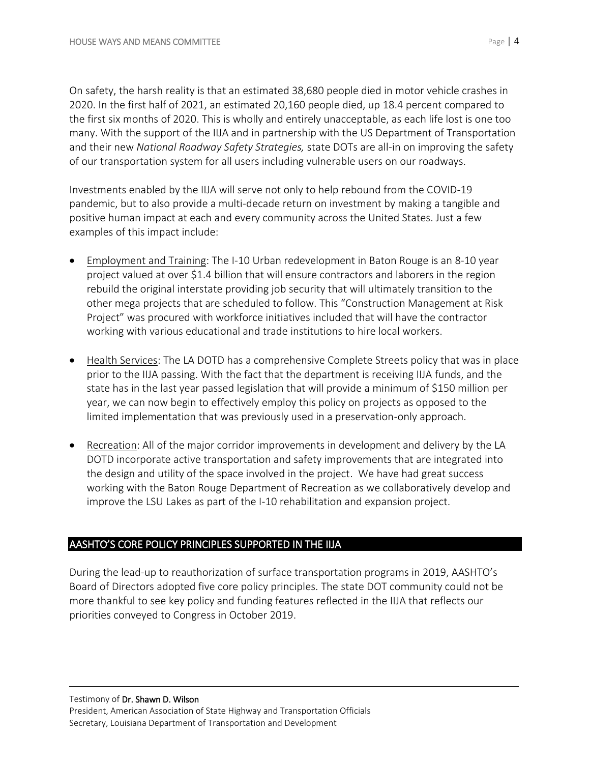On safety, the harsh reality is that an estimated 38,680 people died in motor vehicle crashes in 2020. In the first half of 2021, an estimated 20,160 people died, up 18.4 percent compared to the first six months of 2020. This is wholly and entirely unacceptable, as each life lost is one too many. With the support of the IIJA and in partnership with the US Department of Transportation and their new *National Roadway Safety Strategies,* state DOTs are all-in on improving the safety of our transportation system for all users including vulnerable users on our roadways.

Investments enabled by the IIJA will serve not only to help rebound from the COVID-19 pandemic, but to also provide a multi-decade return on investment by making a tangible and positive human impact at each and every community across the United States. Just a few examples of this impact include:

- Employment and Training: The I-10 Urban redevelopment in Baton Rouge is an 8-10 year project valued at over \$1.4 billion that will ensure contractors and laborers in the region rebuild the original interstate providing job security that will ultimately transition to the other mega projects that are scheduled to follow. This "Construction Management at Risk Project" was procured with workforce initiatives included that will have the contractor working with various educational and trade institutions to hire local workers.
- **•** Health Services: The LA DOTD has a comprehensive Complete Streets policy that was in place prior to the IIJA passing. With the fact that the department is receiving IIJA funds, and the state has in the last year passed legislation that will provide a minimum of \$150 million per year, we can now begin to effectively employ this policy on projects as opposed to the limited implementation that was previously used in a preservation-only approach.
- Recreation: All of the major corridor improvements in development and delivery by the LA DOTD incorporate active transportation and safety improvements that are integrated into the design and utility of the space involved in the project. We have had great success working with the Baton Rouge Department of Recreation as we collaboratively develop and improve the LSU Lakes as part of the I-10 rehabilitation and expansion project.

## AASHTO'S CORE POLICY PRINCIPLES SUPPORTED IN THE IIJA

During the lead-up to reauthorization of surface transportation programs in 2019, AASHTO's Board of Directors adopted five core policy principles. The state DOT community could not be more thankful to see key policy and funding features reflected in the IIJA that reflects our priorities conveyed to Congress in October 2019.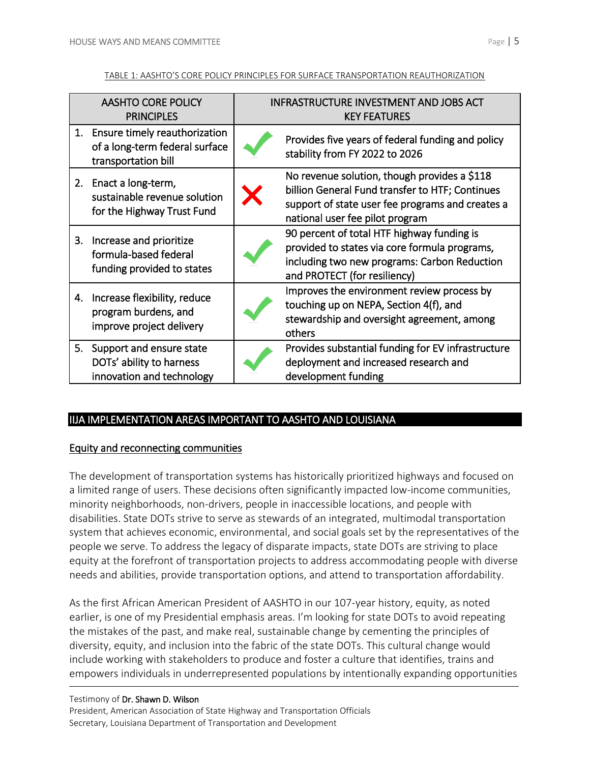#### TABLE 1: AASHTO'S CORE POLICY PRINCIPLES FOR SURFACE TRANSPORTATION REAUTHORIZATION

| <b>AASHTO CORE POLICY</b><br><b>PRINCIPLES</b> |                                                                                        | <b>INFRASTRUCTURE INVESTMENT AND JOBS ACT</b><br><b>KEY FEATURES</b> |                                                                                                                                                                                        |
|------------------------------------------------|----------------------------------------------------------------------------------------|----------------------------------------------------------------------|----------------------------------------------------------------------------------------------------------------------------------------------------------------------------------------|
| 1.                                             | Ensure timely reauthorization<br>of a long-term federal surface<br>transportation bill |                                                                      | Provides five years of federal funding and policy<br>stability from FY 2022 to 2026                                                                                                    |
|                                                | 2. Enact a long-term,<br>sustainable revenue solution<br>for the Highway Trust Fund    |                                                                      | No revenue solution, though provides a \$118<br>billion General Fund transfer to HTF; Continues<br>support of state user fee programs and creates a<br>national user fee pilot program |
| З.                                             | Increase and prioritize<br>formula-based federal<br>funding provided to states         |                                                                      | 90 percent of total HTF highway funding is<br>provided to states via core formula programs,<br>including two new programs: Carbon Reduction<br>and PROTECT (for resiliency)            |
| 4.                                             | Increase flexibility, reduce<br>program burdens, and<br>improve project delivery       |                                                                      | Improves the environment review process by<br>touching up on NEPA, Section 4(f), and<br>stewardship and oversight agreement, among<br>others                                           |
|                                                | 5. Support and ensure state<br>DOTs' ability to harness<br>innovation and technology   |                                                                      | Provides substantial funding for EV infrastructure<br>deployment and increased research and<br>development funding                                                                     |

# IIJA IMPLEMENTATION AREAS IMPORTANT TO AASHTO AND LOUISIANA

## Equity and reconnecting communities

The development of transportation systems has historically prioritized highways and focused on a limited range of users. These decisions often significantly impacted low-income communities, minority neighborhoods, non-drivers, people in inaccessible locations, and people with disabilities. State DOTs strive to serve as stewards of an integrated, multimodal transportation system that achieves economic, environmental, and social goals set by the representatives of the people we serve. To address the legacy of disparate impacts, state DOTs are striving to place equity at the forefront of transportation projects to address accommodating people with diverse needs and abilities, provide transportation options, and attend to transportation affordability.

As the first African American President of AASHTO in our 107-year history, equity, as noted earlier, is one of my Presidential emphasis areas. I'm looking for state DOTs to avoid repeating the mistakes of the past, and make real, sustainable change by cementing the principles of diversity, equity, and inclusion into the fabric of the state DOTs. This cultural change would include working with stakeholders to produce and foster a culture that identifies, trains and empowers individuals in underrepresented populations by intentionally expanding opportunities

#### Testimony of Dr. Shawn D. Wilson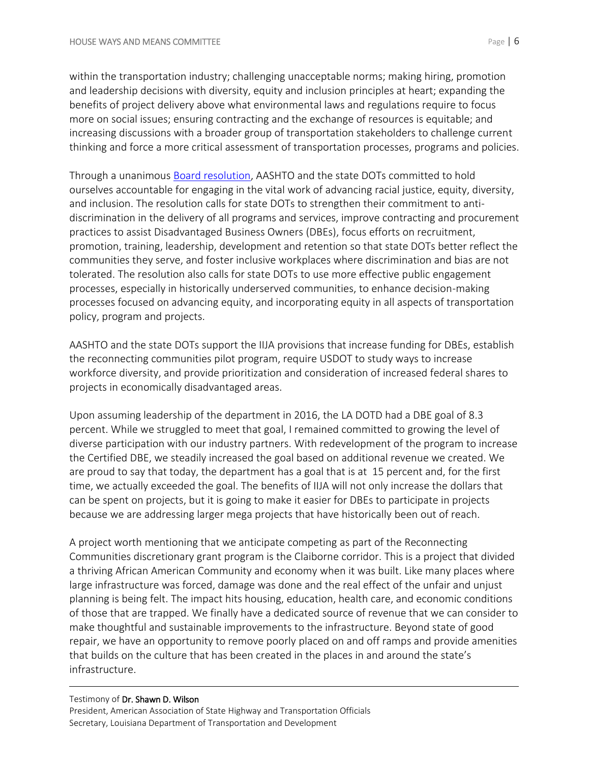within the transportation industry; challenging unacceptable norms; making hiring, promotion and leadership decisions with diversity, equity and inclusion principles at heart; expanding the benefits of project delivery above what environmental laws and regulations require to focus more on social issues; ensuring contracting and the exchange of resources is equitable; and increasing discussions with a broader group of transportation stakeholders to challenge current thinking and force a more critical assessment of transportation processes, programs and policies.

Through a unanimous [Board resolution,](https://policy.transportation.org/wp-content/uploads/sites/59/2020/11/PR-2-20-AASHTO-Resolution-Addressing-Race-Equity-Diversity-and-Inclusion.pdf) AASHTO and the state DOTs committed to hold ourselves accountable for engaging in the vital work of advancing racial justice, equity, diversity, and inclusion. The resolution calls for state DOTs to strengthen their commitment to antidiscrimination in the delivery of all programs and services, improve contracting and procurement practices to assist Disadvantaged Business Owners (DBEs), focus efforts on recruitment, promotion, training, leadership, development and retention so that state DOTs better reflect the communities they serve, and foster inclusive workplaces where discrimination and bias are not tolerated. The resolution also calls for state DOTs to use more effective public engagement processes, especially in historically underserved communities, to enhance decision-making processes focused on advancing equity, and incorporating equity in all aspects of transportation policy, program and projects.

AASHTO and the state DOTs support the IIJA provisions that increase funding for DBEs, establish the reconnecting communities pilot program, require USDOT to study ways to increase workforce diversity, and provide prioritization and consideration of increased federal shares to projects in economically disadvantaged areas.

Upon assuming leadership of the department in 2016, the LA DOTD had a DBE goal of 8.3 percent. While we struggled to meet that goal, I remained committed to growing the level of diverse participation with our industry partners. With redevelopment of the program to increase the Certified DBE, we steadily increased the goal based on additional revenue we created. We are proud to say that today, the department has a goal that is at 15 percent and, for the first time, we actually exceeded the goal. The benefits of IIJA will not only increase the dollars that can be spent on projects, but it is going to make it easier for DBEs to participate in projects because we are addressing larger mega projects that have historically been out of reach.

A project worth mentioning that we anticipate competing as part of the Reconnecting Communities discretionary grant program is the Claiborne corridor. This is a project that divided a thriving African American Community and economy when it was built. Like many places where large infrastructure was forced, damage was done and the real effect of the unfair and unjust planning is being felt. The impact hits housing, education, health care, and economic conditions of those that are trapped. We finally have a dedicated source of revenue that we can consider to make thoughtful and sustainable improvements to the infrastructure. Beyond state of good repair, we have an opportunity to remove poorly placed on and off ramps and provide amenities that builds on the culture that has been created in the places in and around the state's infrastructure.

# Testimony of Dr. Shawn D. Wilson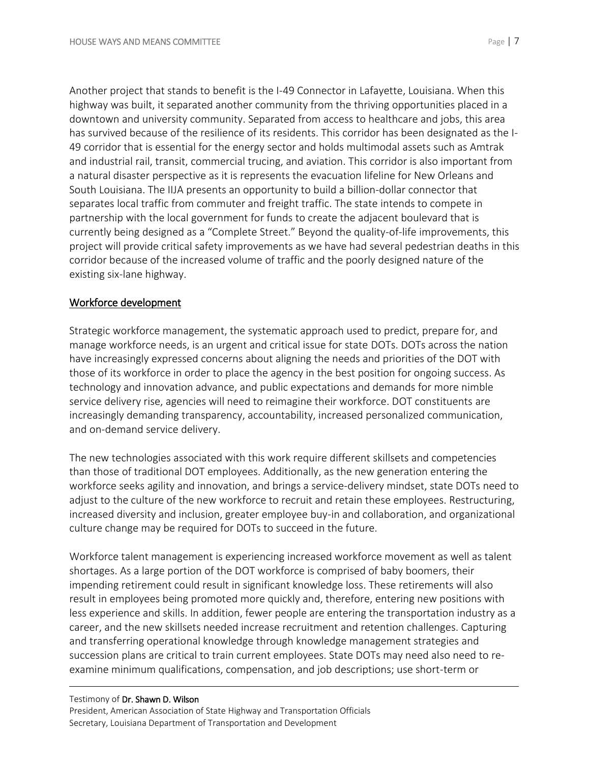Another project that stands to benefit is the I-49 Connector in Lafayette, Louisiana. When this highway was built, it separated another community from the thriving opportunities placed in a downtown and university community. Separated from access to healthcare and jobs, this area has survived because of the resilience of its residents. This corridor has been designated as the I-49 corridor that is essential for the energy sector and holds multimodal assets such as Amtrak and industrial rail, transit, commercial trucing, and aviation. This corridor is also important from a natural disaster perspective as it is represents the evacuation lifeline for New Orleans and South Louisiana. The IIJA presents an opportunity to build a billion-dollar connector that separates local traffic from commuter and freight traffic. The state intends to compete in partnership with the local government for funds to create the adjacent boulevard that is currently being designed as a "Complete Street." Beyond the quality-of-life improvements, this project will provide critical safety improvements as we have had several pedestrian deaths in this corridor because of the increased volume of traffic and the poorly designed nature of the existing six-lane highway.

## Workforce development

Strategic workforce management, the systematic approach used to predict, prepare for, and manage workforce needs, is an urgent and critical issue for state DOTs. DOTs across the nation have increasingly expressed concerns about aligning the needs and priorities of the DOT with those of its workforce in order to place the agency in the best position for ongoing success. As technology and innovation advance, and public expectations and demands for more nimble service delivery rise, agencies will need to reimagine their workforce. DOT constituents are increasingly demanding transparency, accountability, increased personalized communication, and on-demand service delivery.

The new technologies associated with this work require different skillsets and competencies than those of traditional DOT employees. Additionally, as the new generation entering the workforce seeks agility and innovation, and brings a service-delivery mindset, state DOTs need to adjust to the culture of the new workforce to recruit and retain these employees. Restructuring, increased diversity and inclusion, greater employee buy-in and collaboration, and organizational culture change may be required for DOTs to succeed in the future.

Workforce talent management is experiencing increased workforce movement as well as talent shortages. As a large portion of the DOT workforce is comprised of baby boomers, their impending retirement could result in significant knowledge loss. These retirements will also result in employees being promoted more quickly and, therefore, entering new positions with less experience and skills. In addition, fewer people are entering the transportation industry as a career, and the new skillsets needed increase recruitment and retention challenges. Capturing and transferring operational knowledge through knowledge management strategies and succession plans are critical to train current employees. State DOTs may need also need to reexamine minimum qualifications, compensation, and job descriptions; use short-term or

#### Testimony of Dr. Shawn D. Wilson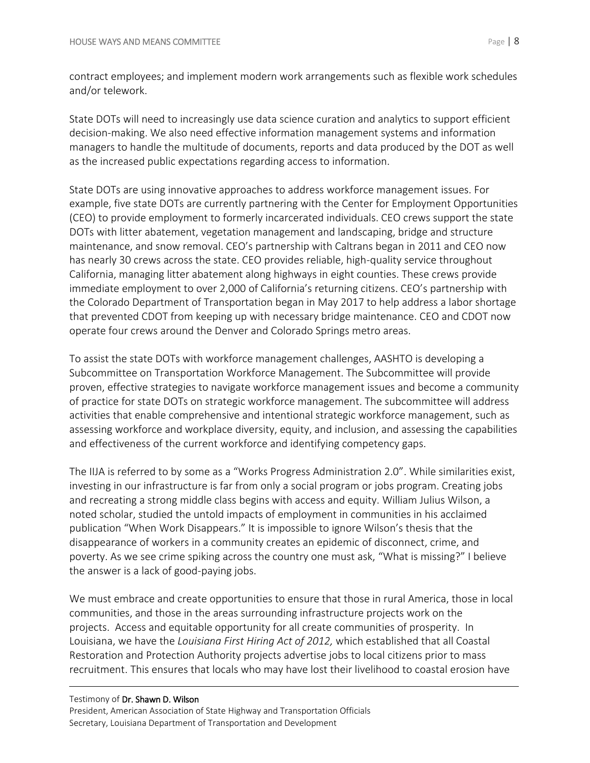contract employees; and implement modern work arrangements such as flexible work schedules and/or telework.

State DOTs will need to increasingly use data science curation and analytics to support efficient decision-making. We also need effective information management systems and information managers to handle the multitude of documents, reports and data produced by the DOT as well as the increased public expectations regarding access to information.

State DOTs are using innovative approaches to address workforce management issues. For example, five state DOTs are currently partnering with the Center for Employment Opportunities (CEO) to provide employment to formerly incarcerated individuals. CEO crews support the state DOTs with litter abatement, vegetation management and landscaping, bridge and structure maintenance, and snow removal. CEO's partnership with Caltrans began in 2011 and CEO now has nearly 30 crews across the state. CEO provides reliable, high-quality service throughout California, managing litter abatement along highways in eight counties. These crews provide immediate employment to over 2,000 of California's returning citizens. CEO's partnership with the Colorado Department of Transportation began in May 2017 to help address a labor shortage that prevented CDOT from keeping up with necessary bridge maintenance. CEO and CDOT now operate four crews around the Denver and Colorado Springs metro areas.

To assist the state DOTs with workforce management challenges, AASHTO is developing a Subcommittee on Transportation Workforce Management. The Subcommittee will provide proven, effective strategies to navigate workforce management issues and become a community of practice for state DOTs on strategic workforce management. The subcommittee will address activities that enable comprehensive and intentional strategic workforce management, such as assessing workforce and workplace diversity, equity, and inclusion, and assessing the capabilities and effectiveness of the current workforce and identifying competency gaps.

The IIJA is referred to by some as a "Works Progress Administration 2.0". While similarities exist, investing in our infrastructure is far from only a social program or jobs program. Creating jobs and recreating a strong middle class begins with access and equity. William Julius Wilson, a noted scholar, studied the untold impacts of employment in communities in his acclaimed publication "When Work Disappears." It is impossible to ignore Wilson's thesis that the disappearance of workers in a community creates an epidemic of disconnect, crime, and poverty. As we see crime spiking across the country one must ask, "What is missing?" I believe the answer is a lack of good-paying jobs.

We must embrace and create opportunities to ensure that those in rural America, those in local communities, and those in the areas surrounding infrastructure projects work on the projects. Access and equitable opportunity for all create communities of prosperity. In Louisiana, we have the *Louisiana First Hiring Act of 2012,* which established that all Coastal Restoration and Protection Authority projects advertise jobs to local citizens prior to mass recruitment. This ensures that locals who may have lost their livelihood to coastal erosion have

## Testimony of Dr. Shawn D. Wilson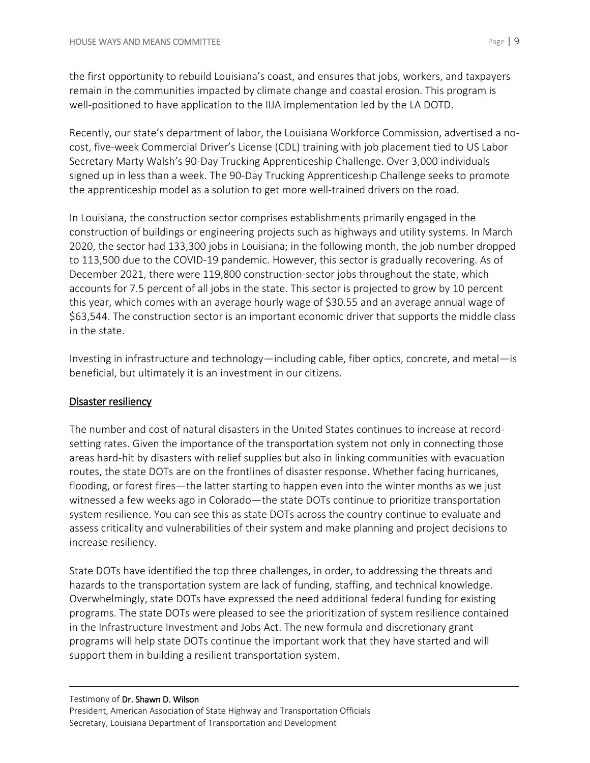the first opportunity to rebuild Louisiana's coast, and ensures that jobs, workers, and taxpayers remain in the communities impacted by climate change and coastal erosion. This program is well-positioned to have application to the IIJA implementation led by the LA DOTD.

Recently, our state's department of labor, the Louisiana Workforce Commission, advertised a nocost, five-week Commercial Driver's License (CDL) training with job placement tied to US Labor Secretary Marty Walsh's 90-Day Trucking Apprenticeship Challenge. Over 3,000 individuals signed up in less than a week. The 90-Day Trucking Apprenticeship Challenge seeks to promote the apprenticeship model as a solution to get more well-trained drivers on the road.

In Louisiana, the construction sector comprises establishments primarily engaged in the construction of buildings or engineering projects such as highways and utility systems. In March 2020, the sector had 133,300 jobs in Louisiana; in the following month, the job number dropped to 113,500 due to the COVID-19 pandemic. However, this sector is gradually recovering. As of December 2021, there were 119,800 construction-sector jobs throughout the state, which accounts for 7.5 percent of all jobs in the state. This sector is projected to grow by 10 percent this year, which comes with an average hourly wage of \$30.55 and an average annual wage of \$63,544. The construction sector is an important economic driver that supports the middle class in the state.

Investing in infrastructure and technology—including cable, fiber optics, concrete, and metal—is beneficial, but ultimately it is an investment in our citizens.

# Disaster resiliency

The number and cost of natural disasters in the United States continues to increase at recordsetting rates. Given the importance of the transportation system not only in connecting those areas hard-hit by disasters with relief supplies but also in linking communities with evacuation routes, the state DOTs are on the frontlines of disaster response. Whether facing hurricanes, flooding, or forest fires—the latter starting to happen even into the winter months as we just witnessed a few weeks ago in Colorado—the state DOTs continue to prioritize transportation system resilience. You can see this as state DOTs across the country continue to evaluate and assess criticality and vulnerabilities of their system and make planning and project decisions to increase resiliency.

State DOTs have identified the top three challenges, in order, to addressing the threats and hazards to the transportation system are lack of funding, staffing, and technical knowledge. Overwhelmingly, state DOTs have expressed the need additional federal funding for existing programs. The state DOTs were pleased to see the prioritization of system resilience contained in the Infrastructure Investment and Jobs Act. The new formula and discretionary grant programs will help state DOTs continue the important work that they have started and will support them in building a resilient transportation system.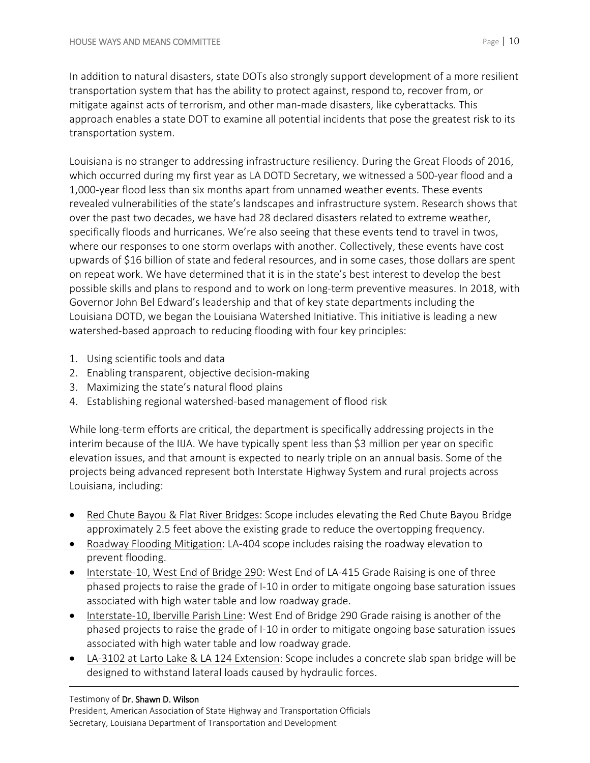In addition to natural disasters, state DOTs also strongly support development of a more resilient transportation system that has the ability to protect against, respond to, recover from, or mitigate against acts of terrorism, and other man-made disasters, like cyberattacks. This approach enables a state DOT to examine all potential incidents that pose the greatest risk to its transportation system.

Louisiana is no stranger to addressing infrastructure resiliency. During the Great Floods of 2016, which occurred during my first year as LA DOTD Secretary, we witnessed a 500-year flood and a 1,000-year flood less than six months apart from unnamed weather events. These events revealed vulnerabilities of the state's landscapes and infrastructure system. Research shows that over the past two decades, we have had 28 declared disasters related to extreme weather, specifically floods and hurricanes. We're also seeing that these events tend to travel in twos, where our responses to one storm overlaps with another. Collectively, these events have cost upwards of \$16 billion of state and federal resources, and in some cases, those dollars are spent on repeat work. We have determined that it is in the state's best interest to develop the best possible skills and plans to respond and to work on long-term preventive measures. In 2018, with Governor John Bel Edward's leadership and that of key state departments including the Louisiana DOTD, we began the Louisiana Watershed Initiative. This initiative is leading a new watershed-based approach to reducing flooding with four key principles:

- 1. Using scientific tools and data
- 2. Enabling transparent, objective decision-making
- 3. Maximizing the state's natural flood plains
- 4. Establishing regional watershed-based management of flood risk

While long-term efforts are critical, the department is specifically addressing projects in the interim because of the IIJA. We have typically spent less than \$3 million per year on specific elevation issues, and that amount is expected to nearly triple on an annual basis. Some of the projects being advanced represent both Interstate Highway System and rural projects across Louisiana, including:

- Red Chute Bayou & Flat River Bridges: Scope includes elevating the Red Chute Bayou Bridge approximately 2.5 feet above the existing grade to reduce the overtopping frequency.
- Roadway Flooding Mitigation: LA-404 scope includes raising the roadway elevation to prevent flooding.
- Interstate-10, West End of Bridge 290: West End of LA-415 Grade Raising is one of three phased projects to raise the grade of I-10 in order to mitigate ongoing base saturation issues associated with high water table and low roadway grade.
- Interstate-10, Iberville Parish Line: West End of Bridge 290 Grade raising is another of the phased projects to raise the grade of I-10 in order to mitigate ongoing base saturation issues associated with high water table and low roadway grade.
- LA-3102 at Larto Lake & LA 124 Extension: Scope includes a concrete slab span bridge will be designed to withstand lateral loads caused by hydraulic forces.

## Testimony of Dr. Shawn D. Wilson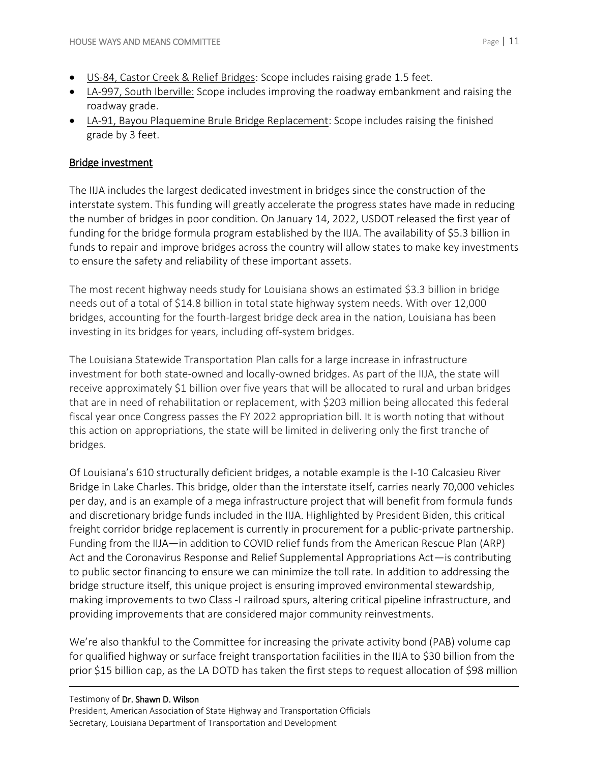- US-84, Castor Creek & Relief Bridges: Scope includes raising grade 1.5 feet.
- LA-997, South Iberville: Scope includes improving the roadway embankment and raising the roadway grade.
- LA-91, Bayou Plaquemine Brule Bridge Replacement: Scope includes raising the finished grade by 3 feet.

## Bridge investment

The IIJA includes the largest dedicated investment in bridges since the construction of the interstate system. This funding will greatly accelerate the progress states have made in reducing the number of bridges in poor condition. On January 14, 2022, USDOT released the first year of funding for the bridge formula program established by the IIJA. The availability of \$5.3 billion in funds to repair and improve bridges across the country will allow states to make key investments to ensure the safety and reliability of these important assets.

The most recent highway needs study for Louisiana shows an estimated \$3.3 billion in bridge needs out of a total of \$14.8 billion in total state highway system needs. With over 12,000 bridges, accounting for the fourth-largest bridge deck area in the nation, Louisiana has been investing in its bridges for years, including off-system bridges.

The Louisiana Statewide Transportation Plan calls for a large increase in infrastructure investment for both state-owned and locally-owned bridges. As part of the IIJA, the state will receive approximately \$1 billion over five years that will be allocated to rural and urban bridges that are in need of rehabilitation or replacement, with \$203 million being allocated this federal fiscal year once Congress passes the FY 2022 appropriation bill. It is worth noting that without this action on appropriations, the state will be limited in delivering only the first tranche of bridges.

Of Louisiana's 610 structurally deficient bridges, a notable example is the I-10 Calcasieu River Bridge in Lake Charles. This bridge, older than the interstate itself, carries nearly 70,000 vehicles per day, and is an example of a mega infrastructure project that will benefit from formula funds and discretionary bridge funds included in the IIJA. Highlighted by President Biden, this critical freight corridor bridge replacement is currently in procurement for a public-private partnership. Funding from the IIJA—in addition to COVID relief funds from the American Rescue Plan (ARP) Act and the Coronavirus Response and Relief Supplemental Appropriations Act—is contributing to public sector financing to ensure we can minimize the toll rate. In addition to addressing the bridge structure itself, this unique project is ensuring improved environmental stewardship, making improvements to two Class -I railroad spurs, altering critical pipeline infrastructure, and providing improvements that are considered major community reinvestments.

We're also thankful to the Committee for increasing the private activity bond (PAB) volume cap for qualified highway or surface freight transportation facilities in the IIJA to \$30 billion from the prior \$15 billion cap, as the LA DOTD has taken the first steps to request allocation of \$98 million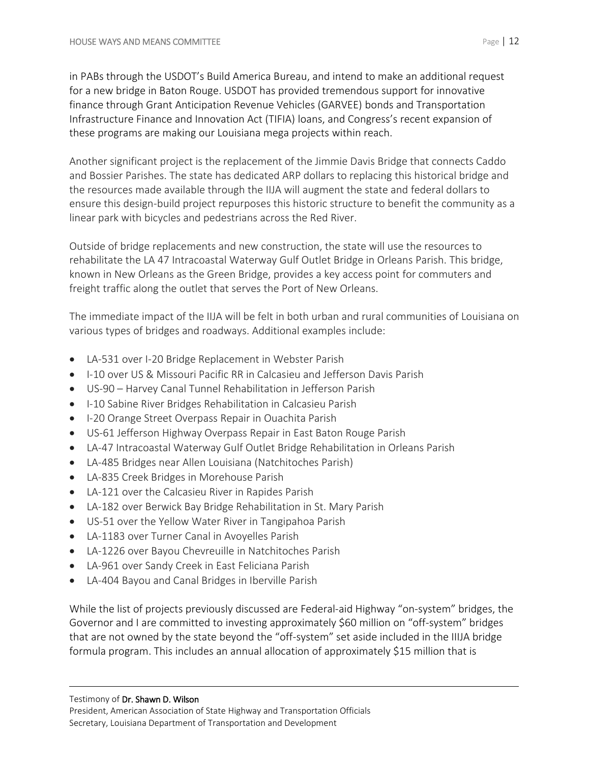in PABs through the USDOT's Build America Bureau, and intend to make an additional request for a new bridge in Baton Rouge. USDOT has provided tremendous support for innovative finance through Grant Anticipation Revenue Vehicles (GARVEE) bonds and Transportation Infrastructure Finance and Innovation Act (TIFIA) loans, and Congress's recent expansion of these programs are making our Louisiana mega projects within reach.

Another significant project is the replacement of the Jimmie Davis Bridge that connects Caddo and Bossier Parishes. The state has dedicated ARP dollars to replacing this historical bridge and the resources made available through the IIJA will augment the state and federal dollars to ensure this design-build project repurposes this historic structure to benefit the community as a linear park with bicycles and pedestrians across the Red River.

Outside of bridge replacements and new construction, the state will use the resources to rehabilitate the LA 47 Intracoastal Waterway Gulf Outlet Bridge in Orleans Parish. This bridge, known in New Orleans as the Green Bridge, provides a key access point for commuters and freight traffic along the outlet that serves the Port of New Orleans.

The immediate impact of the IIJA will be felt in both urban and rural communities of Louisiana on various types of bridges and roadways. Additional examples include:

- LA-531 over I-20 Bridge Replacement in Webster Parish
- I-10 over US & Missouri Pacific RR in Calcasieu and Jefferson Davis Parish
- US-90 Harvey Canal Tunnel Rehabilitation in Jefferson Parish
- I-10 Sabine River Bridges Rehabilitation in Calcasieu Parish
- I-20 Orange Street Overpass Repair in Ouachita Parish
- US-61 Jefferson Highway Overpass Repair in East Baton Rouge Parish
- LA-47 Intracoastal Waterway Gulf Outlet Bridge Rehabilitation in Orleans Parish
- LA-485 Bridges near Allen Louisiana (Natchitoches Parish)
- LA-835 Creek Bridges in Morehouse Parish
- LA-121 over the Calcasieu River in Rapides Parish
- LA-182 over Berwick Bay Bridge Rehabilitation in St. Mary Parish
- US-51 over the Yellow Water River in Tangipahoa Parish
- LA-1183 over Turner Canal in Avoyelles Parish
- LA-1226 over Bayou Chevreuille in Natchitoches Parish
- LA-961 over Sandy Creek in East Feliciana Parish
- LA-404 Bayou and Canal Bridges in Iberville Parish

While the list of projects previously discussed are Federal-aid Highway "on-system" bridges, the Governor and I are committed to investing approximately \$60 million on "off-system" bridges that are not owned by the state beyond the "off-system" set aside included in the IIIJA bridge formula program. This includes an annual allocation of approximately \$15 million that is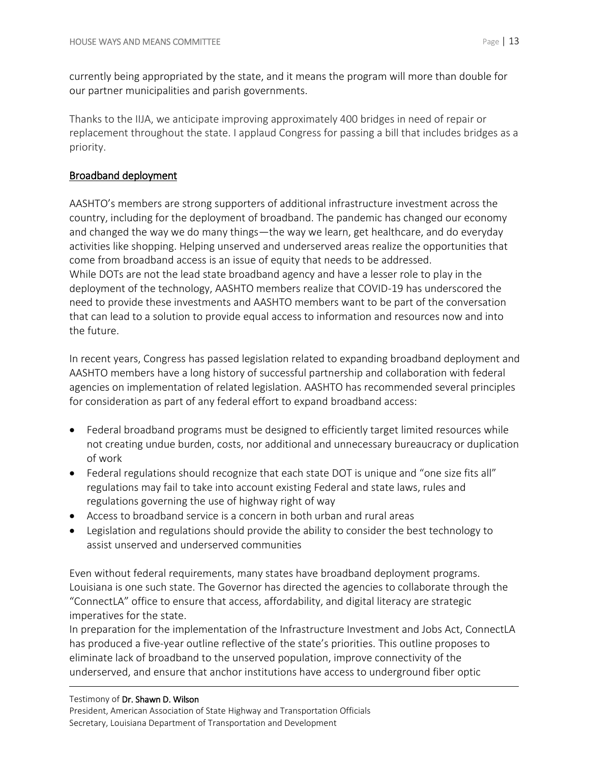currently being appropriated by the state, and it means the program will more than double for our partner municipalities and parish governments.

Thanks to the IIJA, we anticipate improving approximately 400 bridges in need of repair or replacement throughout the state. I applaud Congress for passing a bill that includes bridges as a priority.

# Broadband deployment

AASHTO's members are strong supporters of additional infrastructure investment across the country, including for the deployment of broadband. The pandemic has changed our economy and changed the way we do many things—the way we learn, get healthcare, and do everyday activities like shopping. Helping unserved and underserved areas realize the opportunities that come from broadband access is an issue of equity that needs to be addressed. While DOTs are not the lead state broadband agency and have a lesser role to play in the deployment of the technology, AASHTO members realize that COVID-19 has underscored the need to provide these investments and AASHTO members want to be part of the conversation that can lead to a solution to provide equal access to information and resources now and into the future.

In recent years, Congress has passed legislation related to expanding broadband deployment and AASHTO members have a long history of successful partnership and collaboration with federal agencies on implementation of related legislation. AASHTO has recommended several principles for consideration as part of any federal effort to expand broadband access:

- Federal broadband programs must be designed to efficiently target limited resources while not creating undue burden, costs, nor additional and unnecessary bureaucracy or duplication of work
- Federal regulations should recognize that each state DOT is unique and "one size fits all" regulations may fail to take into account existing Federal and state laws, rules and regulations governing the use of highway right of way
- Access to broadband service is a concern in both urban and rural areas
- Legislation and regulations should provide the ability to consider the best technology to assist unserved and underserved communities

Even without federal requirements, many states have broadband deployment programs. Louisiana is one such state. The Governor has directed the agencies to collaborate through the "ConnectLA" office to ensure that access, affordability, and digital literacy are strategic imperatives for the state.

In preparation for the implementation of the Infrastructure Investment and Jobs Act, ConnectLA has produced a five-year outline reflective of the state's priorities. This outline proposes to eliminate lack of broadband to the unserved population, improve connectivity of the underserved, and ensure that anchor institutions have access to underground fiber optic

#### Testimony of Dr. Shawn D. Wilson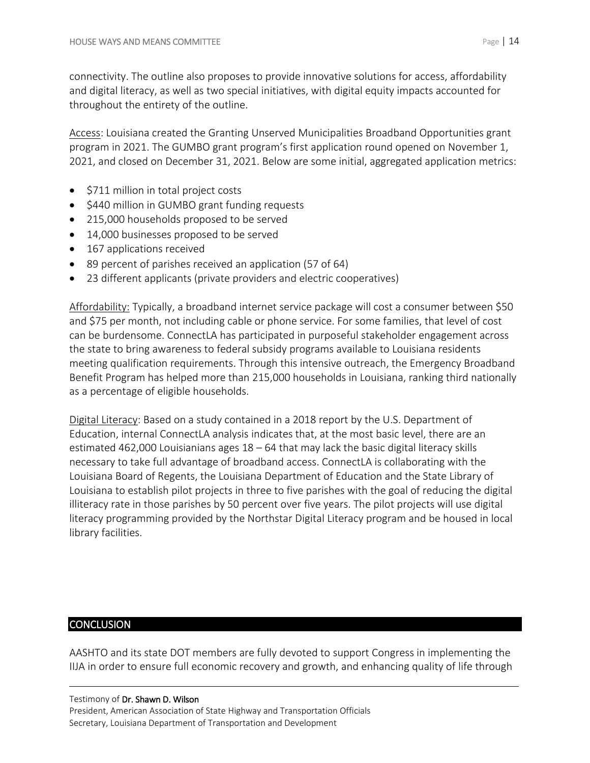connectivity. The outline also proposes to provide innovative solutions for access, affordability and digital literacy, as well as two special initiatives, with digital equity impacts accounted for throughout the entirety of the outline.

Access: Louisiana created the Granting Unserved Municipalities Broadband Opportunities grant program in 2021. The GUMBO grant program's first application round opened on November 1, 2021, and closed on December 31, 2021. Below are some initial, aggregated application metrics:

- \$711 million in total project costs
- \$440 million in GUMBO grant funding requests
- 215,000 households proposed to be served
- 14,000 businesses proposed to be served
- 167 applications received
- 89 percent of parishes received an application (57 of 64)
- 23 different applicants (private providers and electric cooperatives)

Affordability: Typically, a broadband internet service package will cost a consumer between \$50 and \$75 per month, not including cable or phone service. For some families, that level of cost can be burdensome. ConnectLA has participated in purposeful stakeholder engagement across the state to bring awareness to federal subsidy programs available to Louisiana residents meeting qualification requirements. Through this intensive outreach, the Emergency Broadband Benefit Program has helped more than 215,000 households in Louisiana, ranking third nationally as a percentage of eligible households.

Digital Literacy: Based on a study contained in a 2018 report by the U.S. Department of Education, internal ConnectLA analysis indicates that, at the most basic level, there are an estimated 462,000 Louisianians ages 18 – 64 that may lack the basic digital literacy skills necessary to take full advantage of broadband access. ConnectLA is collaborating with the Louisiana Board of Regents, the Louisiana Department of Education and the State Library of Louisiana to establish pilot projects in three to five parishes with the goal of reducing the digital illiteracy rate in those parishes by 50 percent over five years. The pilot projects will use digital literacy programming provided by the Northstar Digital Literacy program and be housed in local library facilities.

# **CONCLUSION**

AASHTO and its state DOT members are fully devoted to support Congress in implementing the IIJA in order to ensure full economic recovery and growth, and enhancing quality of life through